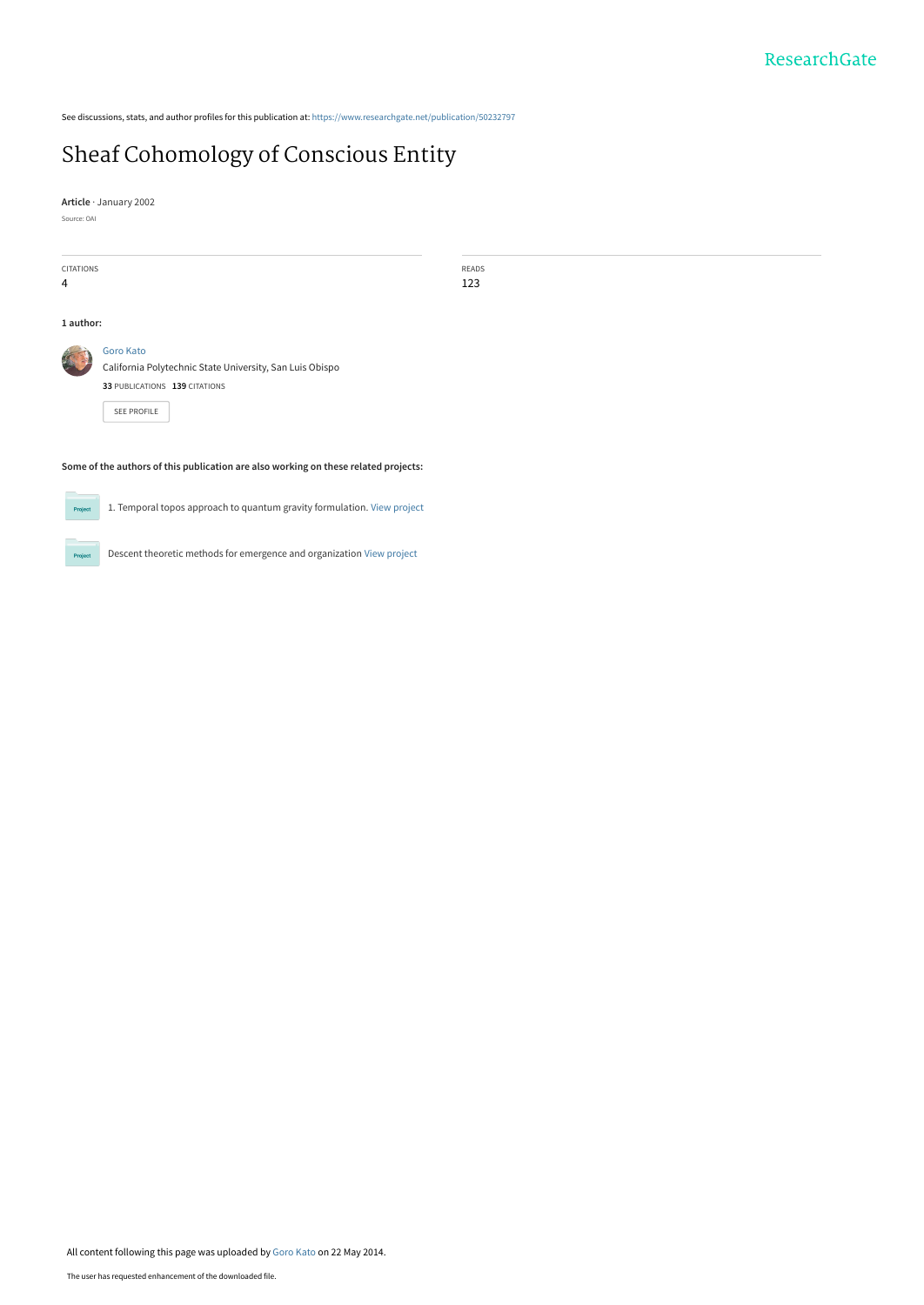See discussions, stats, and author profiles for this publication at: [https://www.researchgate.net/publication/50232797](https://www.researchgate.net/publication/50232797_Sheaf_Cohomology_of_Conscious_Entity?enrichId=rgreq-26996915b42cb5854c2924c1e1c963c3-XXX&enrichSource=Y292ZXJQYWdlOzUwMjMyNzk3O0FTOjk5NDQ5OTQyNTc3MTY5QDE0MDA3MjIxMjI3NzI%3D&el=1_x_2&_esc=publicationCoverPdf)

## [Sheaf Cohomology of Conscious Entity](https://www.researchgate.net/publication/50232797_Sheaf_Cohomology_of_Conscious_Entity?enrichId=rgreq-26996915b42cb5854c2924c1e1c963c3-XXX&enrichSource=Y292ZXJQYWdlOzUwMjMyNzk3O0FTOjk5NDQ5OTQyNTc3MTY5QDE0MDA3MjIxMjI3NzI%3D&el=1_x_3&_esc=publicationCoverPdf)

**Article** · January 2002

Source: OAI

CITATIONS 4 READS 123 **1 author: Some of the authors of this publication are also working on these related projects:** [Goro Kato](https://www.researchgate.net/profile/Goro-Kato-2?enrichId=rgreq-26996915b42cb5854c2924c1e1c963c3-XXX&enrichSource=Y292ZXJQYWdlOzUwMjMyNzk3O0FTOjk5NDQ5OTQyNTc3MTY5QDE0MDA3MjIxMjI3NzI%3D&el=1_x_5&_esc=publicationCoverPdf) [California Polytechnic State University, San Luis Obispo](https://www.researchgate.net/institution/California-Polytechnic-State-University-San-Luis-Obispo?enrichId=rgreq-26996915b42cb5854c2924c1e1c963c3-XXX&enrichSource=Y292ZXJQYWdlOzUwMjMyNzk3O0FTOjk5NDQ5OTQyNTc3MTY5QDE0MDA3MjIxMjI3NzI%3D&el=1_x_6&_esc=publicationCoverPdf) **33** PUBLICATIONS **139** CITATIONS [SEE PROFILE](https://www.researchgate.net/profile/Goro-Kato-2?enrichId=rgreq-26996915b42cb5854c2924c1e1c963c3-XXX&enrichSource=Y292ZXJQYWdlOzUwMjMyNzk3O0FTOjk5NDQ5OTQyNTc3MTY5QDE0MDA3MjIxMjI3NzI%3D&el=1_x_7&_esc=publicationCoverPdf)



1. Temporal topos approach to quantum gravity formulation. [View project](https://www.researchgate.net/project/1-Temporal-topos-approach-to-quantum-gravity-formulation?enrichId=rgreq-26996915b42cb5854c2924c1e1c963c3-XXX&enrichSource=Y292ZXJQYWdlOzUwMjMyNzk3O0FTOjk5NDQ5OTQyNTc3MTY5QDE0MDA3MjIxMjI3NzI%3D&el=1_x_9&_esc=publicationCoverPdf)



Descent theoretic methods for emergence and organization [View project](https://www.researchgate.net/project/Descent-theoretic-methods-for-emergence-and-organization?enrichId=rgreq-26996915b42cb5854c2924c1e1c963c3-XXX&enrichSource=Y292ZXJQYWdlOzUwMjMyNzk3O0FTOjk5NDQ5OTQyNTc3MTY5QDE0MDA3MjIxMjI3NzI%3D&el=1_x_9&_esc=publicationCoverPdf)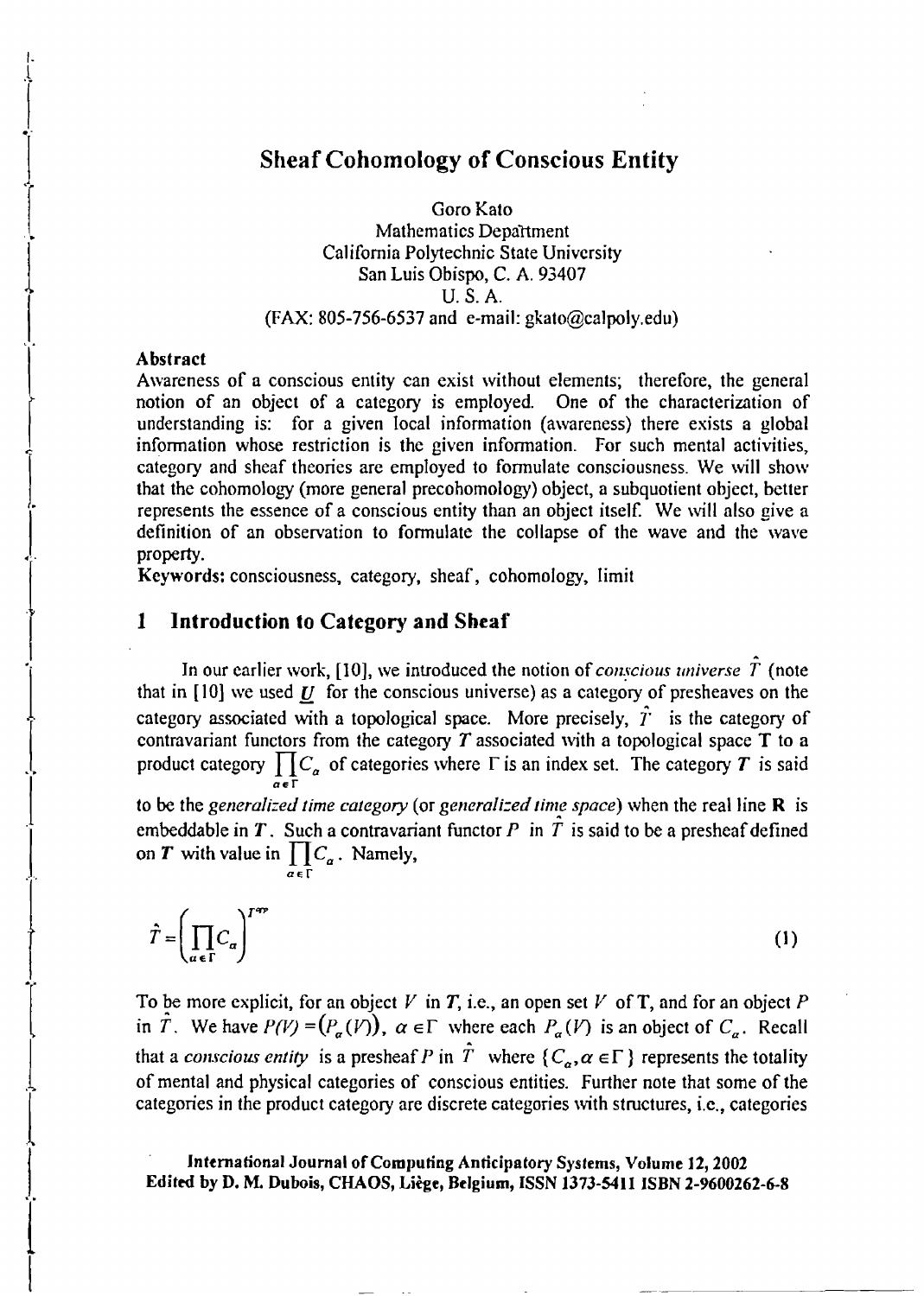### Sheaf Cohomology of Conscious Entity

Goro Kato Mathematics Department California Polytechnic State University San Luis Obispo, C. A. 93407 U. S. A. (FAX: 805-756-6537 and e-mail: gkato@calpoly.edu)

#### Abstract

 $\frac{1}{\sqrt{1-\frac{1}{2}}}$ 

1.

 $\frac{1}{1}$ 

 $\begin{bmatrix} 1 \\ 1 \end{bmatrix}$ 

 $\begin{matrix} \vdots \\ \vdots \end{matrix}$ 

 $\frac{1}{1}$ 

 $\frac{1}{\Gamma}$ 

 $\left\{\begin{array}{c} \end{array}\right\}$ 

 $\frac{1}{1}$ 

 $\left| \begin{array}{c} \end{array} \right|$ 

 $\int_{\mathbf{r}}$ 

 $\begin{bmatrix} 1 \\ 1 \end{bmatrix}$ 

 $\overline{ }$ 

 $\frac{1}{2}$ 

I.

i

 $\frac{1}{2}$ 

Awareness of a conscious entity can exist without elements; therefore, the general notion of an object of a category is employed. One of the characterization of understanding is: for a given local information (awareness) there exists a global information whose restriction is the given information. For such mental activities, category and sheaf theories are employed to formulate consciousness. We will show that the cohomology (more general precohomology) object, a subquotient object, better represents the essence of a conscious entity than an object itself. We will also give a definition of an observation to fonnulate the collapse of the wave and the wave property.

Keywords: consciousness, category, sheaf, cohomology, limit

#### 1 Introduction to Category and Sheaf

 $a \in \Gamma$ 

In our earlier work,  $[10]$ , we introduced the notion of *conscious universe*  $\hat{T}$  (note that in  $[10]$  we used  $U$  for the conscious universe) as a category of presheaves on the category associated with a topological space. More precisely,  $\hat{T}$  is the category of contravariant functors from the category  $T$  associated with a topological space  $T$  to a product category  $\prod C_{\alpha}$  of categories where  $\Gamma$  is an index set. The category  $T$  is said  $\alpha \in \Gamma$ 

to be the *generalized time category* (or *generalized time space*) when the real line **R** is embeddable in T. Such a contravariant functor P in  $\hat{T}$  is said to be a presheaf defined on *T* with value in  $\prod C_a$ . Namely,

$$
\hat{T} = \left(\prod_{a \in \Gamma} C_a\right)^{T^{op}}
$$
 (1)

To be more explicit, for an object  $V$  in  $T$ , i.e., an open set  $V$  of  $T$ , and for an object  $P$ in  $\hat{T}$ . We have  $P(V) = (P_{\alpha}(V))$ ,  $\alpha \in \Gamma$  where each  $P_{\alpha}(V)$  is an object of  $C_{\alpha}$ . Recall that a *conscious entity* is a presheaf P in  $\hat{T}$  where  $\{C_a, \alpha \in \Gamma\}$  represents the totality of mental and physical categories of conscious entities. Further note that some of the categories in the product category are discrete categories with structures, i.e. categories <sup>t</sup>

International Journal of Computing Anticipatory Systems, Volume 12, 2002 Edited by D. M. Dubois, CHAOS, Liege, Belgium, ISSN 1373-5411 ISBN 2-9600262-6-8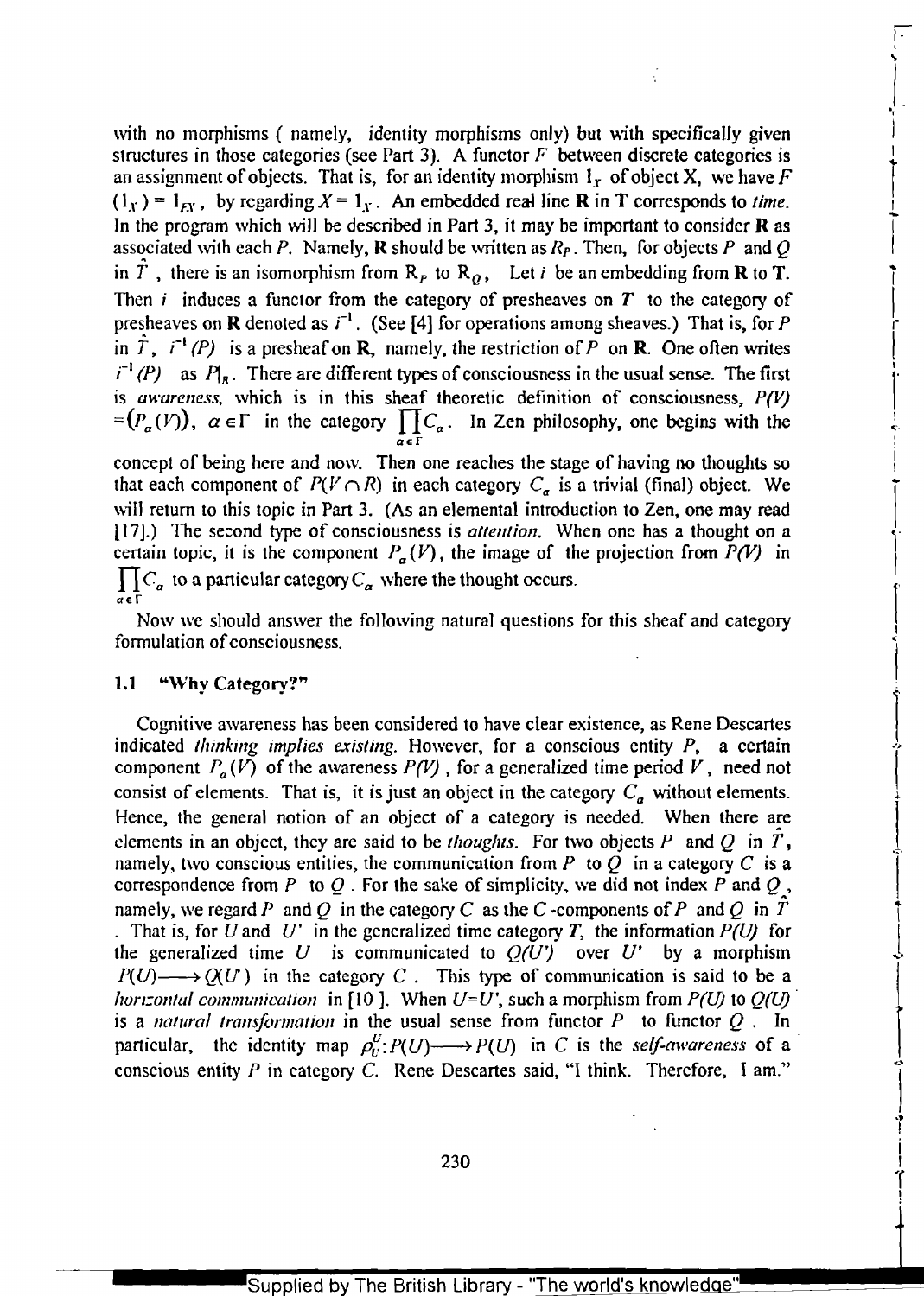with no morphisms  $\ell$  namely, identity morphisms only) but with specifically given structures in those categories (see Part 3). A functor  $F$  between discrete categories is an assignment of objects. That is, for an identity morphism  $I_x$  of object X, we have F  $(I_x) = I_{xx}$ , by regarding  $X = I_x$ . An embedded real line **R** in **T** corresponds to *time.* In the program which will be described in Part 3, it may be important to consider  **as** associated with each P. Namely, **R** should be written as  $R_p$ . Then, for objects P and Q in  $\overline{T}$ , there is an isomorphism from  $R_P$  to  $R_Q$ , Let *i* be an embedding from **R** to **T**. Then *i* induces a functor from the category of presheaves on **T** to the category of Then *i* induces a functor from the category of presheaves on  $T$  to the category of presheaves on  $R$  denoted as  $i^{-1}$ . (See [4] for operations among sheaves.) That is, for  $P$ in  $\hat{T}$ ,  $i^{-1}(P)$  is a presheaf on **R**, namely, the restriction of *P* on **R**. One often writes  $i^{-1}(P)$  as  $P_{1R}$ . There are different types of consciousness in the usual sense. The first is *awareness,* which is in this sheaf theoretic definition of consciousness, *P(V) is awareness*, which is in this sheat theoretic definition of consciousness,  $P(V)$  <br>=  $(P_{\alpha}(V))$ ,  $\alpha \in \Gamma$  in the category  $\prod C_{\alpha}$ . In Zen philosophy, one begins with the  $\overline{a}$ er

 $\mathbf{r}$ ..

I. "'<br>|-

I

 $\int$ 

 $\vert$ 

 $-$ 

."I I i I  $\mathbf{r}$ !

of a .

 $\begin{array}{c} \begin{array}{c} \begin{array}{c} \end{array} \\ \begin{array}{c} \end{array} \end{array} \end{array}$ 

concept of being here and now. Then one reaches the stage of having no thoughts so that each component of  $P(V \cap R)$  in each category  $C_{\alpha}$  is a trivial (final) object. We will return to this topic in Part 3. (As an elemental introduction to Zen, one may read [17].) The second type of consciousness is *attention*. When one has a thought on a certain topic, it is the component  $P_{\alpha}(V)$ , the image of the projection from  $P(V)$  in  $\prod C_{\alpha}$  to a particular category  $C_{\alpha}$  where  $\alpha \in \Gamma$ 

Now we should answer the following natural questions for this sheaf and category l' formulation of consciousness.

# $\begin{array}{c} 1.1 \quad \text{``Why} \end{array}$   $\begin{array}{c} \text{Category?''} \end{array}$

Cognitive awareness has been considered to have clear existence, as Rene Descartes indicated *thinking implies existing.* However, for a conscious entity *P,* a certain 1 component  $P_a(V)$  of the awareness  $P(V)$ , for a generalized time period *V*, need not indicated *thinking implies existing*. However, for a conscious entity  $P$ , a certain<br>component  $P_a(V)$  of the awareness  $P(V)$ , for a generalized time period  $V$ , need not<br>consist of elements. That is, it is just an object elements in an object, they are said to be *thoughts*. For two objects  $P$  and  $Q$  in  $T$ , namely, two conscious entities, the communication from P to Q in a category C is a correspondence from P to Q. For the sake of simplicity, we did not index P and Q, namely, we regard P and Q in the category C as the C-components of P and Q in  $\hat{T}$ . That is, for *U* and *U'* in the generalized time category *T*, the information  $P(U)$  for the generalized time *U* is communicated to  $Q(U')$  over *U'* by a morphism  $P(U) \longrightarrow Q(U)$  in the category C. This type of communication is said to be a *horizontal communication* in [10]. When  $U=U'$ , such a morphism from  $P(U)$  to  $Q(U)$ *horizontal communication* in [10]. When  $U=U'$ , such a morphism from  $P(U)$  to  $Q(U)$  is a *natural transformation* in the usual sense from functor P to functor  $Q$ . In particular, the identity map  $\rho_U^U: P(U) \longrightarrow P(U)$  in C is the *self-awareness* of a conscious entity P in category C. Rene Descartes said, "I think. Therefore, I am."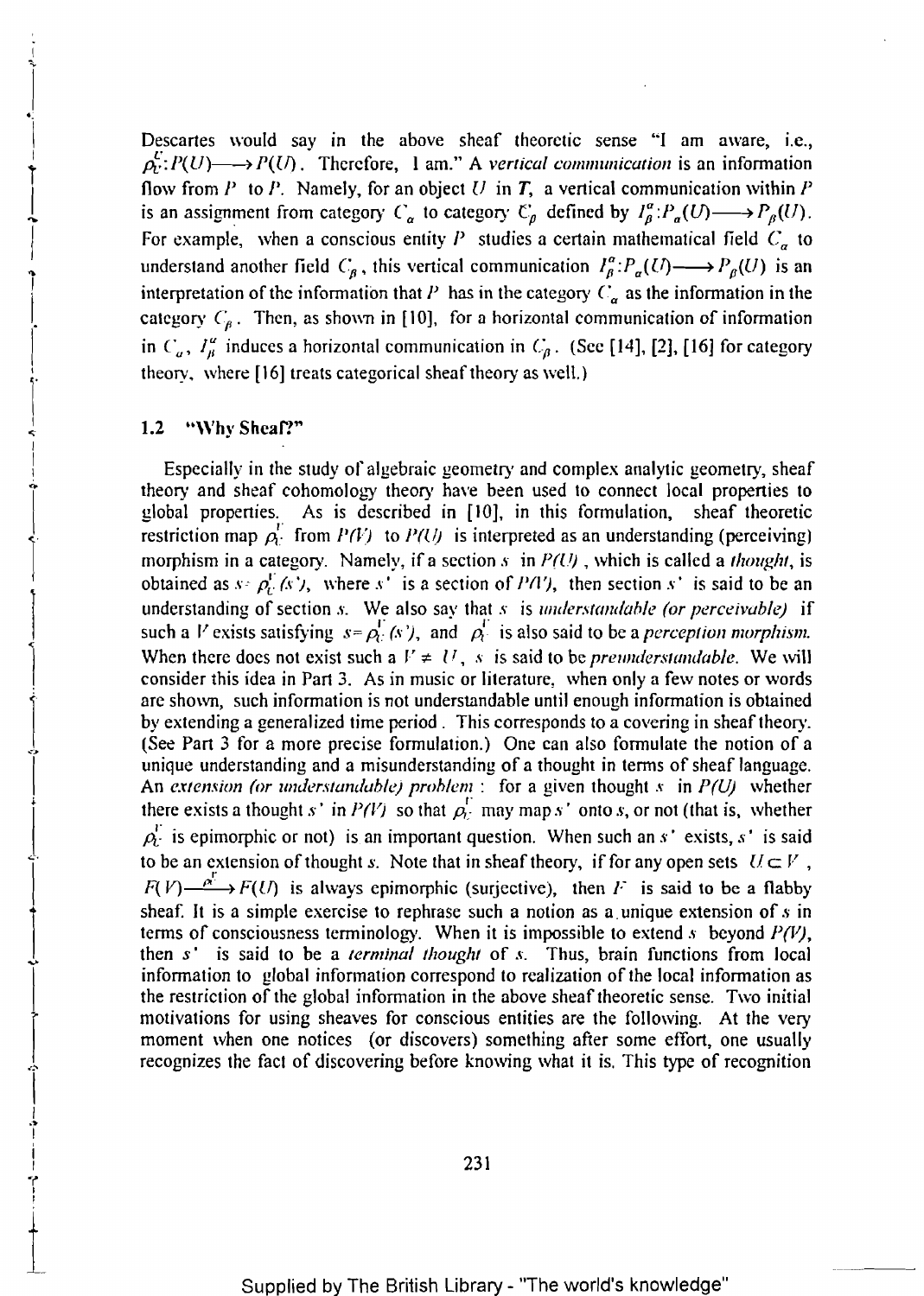Descartes would say in the above sheaf theoretic sense "I am aware, i.e.,  $\rho_U^E: P(U) \longrightarrow P(U)$ . Therefore, 1 am." A vertical communication is an information flow from P to P. Namely, for an object U in T, a vertical communication within P is an assignment from category  $C_{\alpha}$  to category  $C_{\beta}$  defined by  $I_{\beta}^{\alpha}:P_{\alpha}(U)\longrightarrow P_{\beta}(U)$ . For example, when a conscious entity *P* studies a certain mathematical field  $C_{\alpha}$  to understand another field  $C_{\beta}$ , this vertical communication  $I_{\beta}^{\alpha}:P_{\alpha}(U)\longrightarrow P_{\beta}(U)$  is an interpretation of the information that *P* has in the category  $C_a$  as the information in the category  $C_b$ . Then, as shown in [10], for a horizontal communication of information in  $C_a$ ,  $I^{\alpha}_{\beta}$  induces a horizontal communication in  $C_{\beta}$ . (See [14], [2], [16] for category theory, where [16] treats categorical sheaf theory as well.)

#### 1.2 "Why Sheaf?"

-;.

 $\vert$ 

 $\vert$ 

I I

l'

 $\begin{bmatrix} 1 \\ 1 \end{bmatrix}$ 

 $\begin{array}{c}\n\hline\n\downarrow \\
\hline\n\downarrow \\
\hline\n\downarrow \\
\hline\n\downarrow\n\end{array}$ 

 $\mathbf{r}$ I .~ I i

'r" I !

 $\div$ 

Especially in the study of algebraic geometry and complex analytic geometry, sheaf theory and sheaf cohomology theory have been used to connect local properties to<br>global properties. As is described in [10], in this formulation, sheaf theoretic<br>restriction map  $\rho_U^T$  from  $P(U)$  to  $P(U)$  is interpreted morphism in a category. Namely, if a section *s* in P(U), which is called a *thought*, is obtained as  $s \in \rho_{\Gamma}^{\Gamma}(s')$ , where s' is a section of PA'), then section s' is said to be an understanding of section *s*. We also say that *s* is *understandable (or perceivable)* if such a *V* exists satisfying  $s = \rho_U^T(s')$ , and  $\rho_U^T$  is also said to be a *perception morphism*. When there does not exist such a  $V \neq U$ , s is said to be *preunderstandable*. We will consider this idea in Part 3. As in music or literature, when only a few notes or words are shown, such information is not understandable until enough information is obtained by extending a generalized time period. This corresponds to a covering in sheaf theory.<br>
(See Part 3 for a more precise formulation.) One can also formulate the notion of a<br>
unique understanding and a misunderstanding of a An extension (or understandable) problem: for a given thought s in  $P(U)$  whether there exists a thought s' in  $P(V)$  so that  $\rho_i^{\Gamma}$  may map s' onto s, or not (that is, whether  $\rho_L^{\Gamma}$  is epimorphic or not) is an important question. When such an s' exists, s' is said to be an extension of thought *s*. Note that in sheaf theory, if for any open sets  $U \subset V$ ,  $F(V) \longrightarrow F(U)$  is always epimorphic (surjective), then F is said to be a flabby sheaf. It is a simple exercise to rephrase such a notion as a. unique extension of *s* in terms of consciousness terminology. When it is impossible to extend *s* beyond *P(V)*, then *s*' is said to be a *terminal thought* of *s*. Thus, brain functions from local information to global information correspond to realization of the local information as the restriction of the global infonnation in the above sheaf theoretic sense. Two initial motivations for using sheaves for conscious entities are the following. At the very moment when one notices (or discovers) something after some effort, one usually recognizes the fact of discovering before knowing what it is. This type of recognition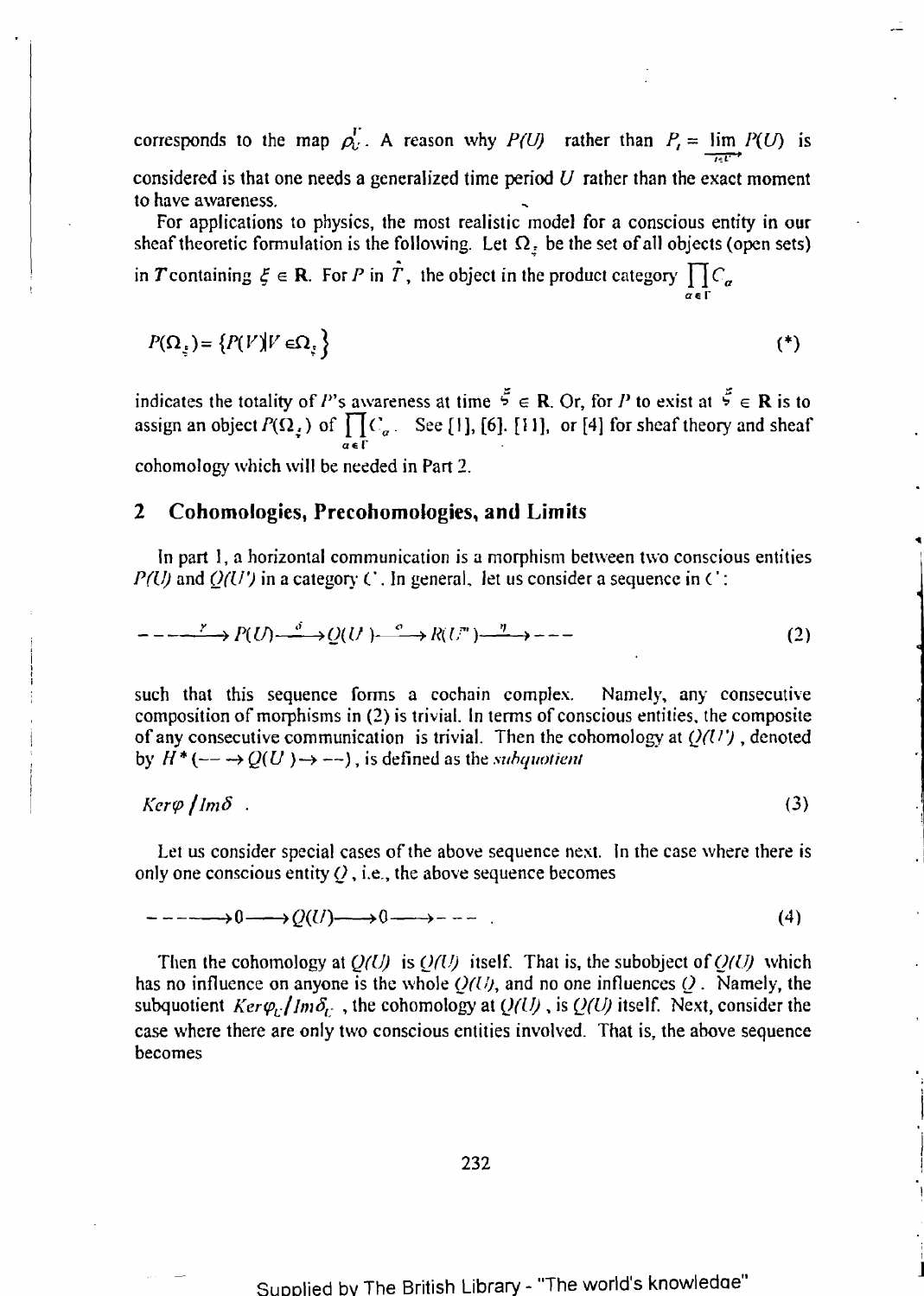corresponds to the map  $\rho_U^{\Gamma}$ . A reason why *P(U)* rather than  $P_I = \lim_{\epsilon \to 0} P(U)$  is considered is that one needs a generalized time period  $U$  rather than the exact moment to have awareness.

For applications to physics, the most realistic model for a conscious entity in our sheaf theoretic formulation is the following. Let  $\Omega$ <sub>z</sub> be the set of all objects (open sets)

in T containing  $\xi \in \mathbf{R}$ . For P in T, the object in the product category  $\iint_C \mathcal{C}_a$  $\alpha \in \Gamma$ 

$$
P(\Omega_{\xi}) = \{ P(V) | V \in \Omega_{\xi} \}
$$

indicates the totality of *P*'s awareness at time  $\bar{5} \in \mathbb{R}$ . Or, for *P* to exist at  $\bar{5} \in \mathbb{R}$  is to assign an object  $P(\Omega_i)$  of  $\prod C_a$ . See [1], [6]. [11], or [4] for sheaf theory and sheaf  $\alpha \in \Gamma$ cohomology which will be needed in Part 2.

#### **2 Cohomologies, Precohomologies, and Limits**

In part I, a horizontal communication is a morphism between two conscious entities *P(U)* and  $Q(U)$  in a category C. In general, let us consider a sequence in C:

$$
---^{r} \to P(U) \xrightarrow{\delta} Q(U) \xrightarrow{\circ} R(U^{n}) \xrightarrow{\eta} ---
$$
 (2)

such that this sequence forms a cochain complex. Namely, any consecutive composition of morphisms in (2) is trivial. In tenns of conscious entities. the composite of any consecutive communication is trivial. Then the cohomology at *Q((I* ') , denoted by  $H^*$  ( $\rightarrow$   $\rightarrow$   $Q(U)$ )  $\rightarrow$   $\rightarrow$   $\rightarrow$ ), is defined as the *subquotient* 

 $Ker\varphi$  *l* lm $\delta$ . (3)

Let us consider special cases of the above sequence next. In the case where there is only one conscious entity *Q* , i.e., the above sequence becomes

$$
-\cdots-\cdots\rightarrow 0 \longrightarrow Q(U)\longrightarrow 0 \longrightarrow -\cdots \tag{4}
$$

Then the cohomology at  $Q(U)$  is  $Q(U)$  itself. That is, the subobject of  $Q(U)$  which has no influence on anyone is the whole  $Q(U)$ , and no one influences  $Q$ . Namely, the subquotient  $Ker\varphi_U/m\delta_U$ , the cohomology at  $Q(U)$ , is  $Q(U)$  itself. Next, consider the case where there are only two conscious entities involved. That is. the above sequence becomes

; J I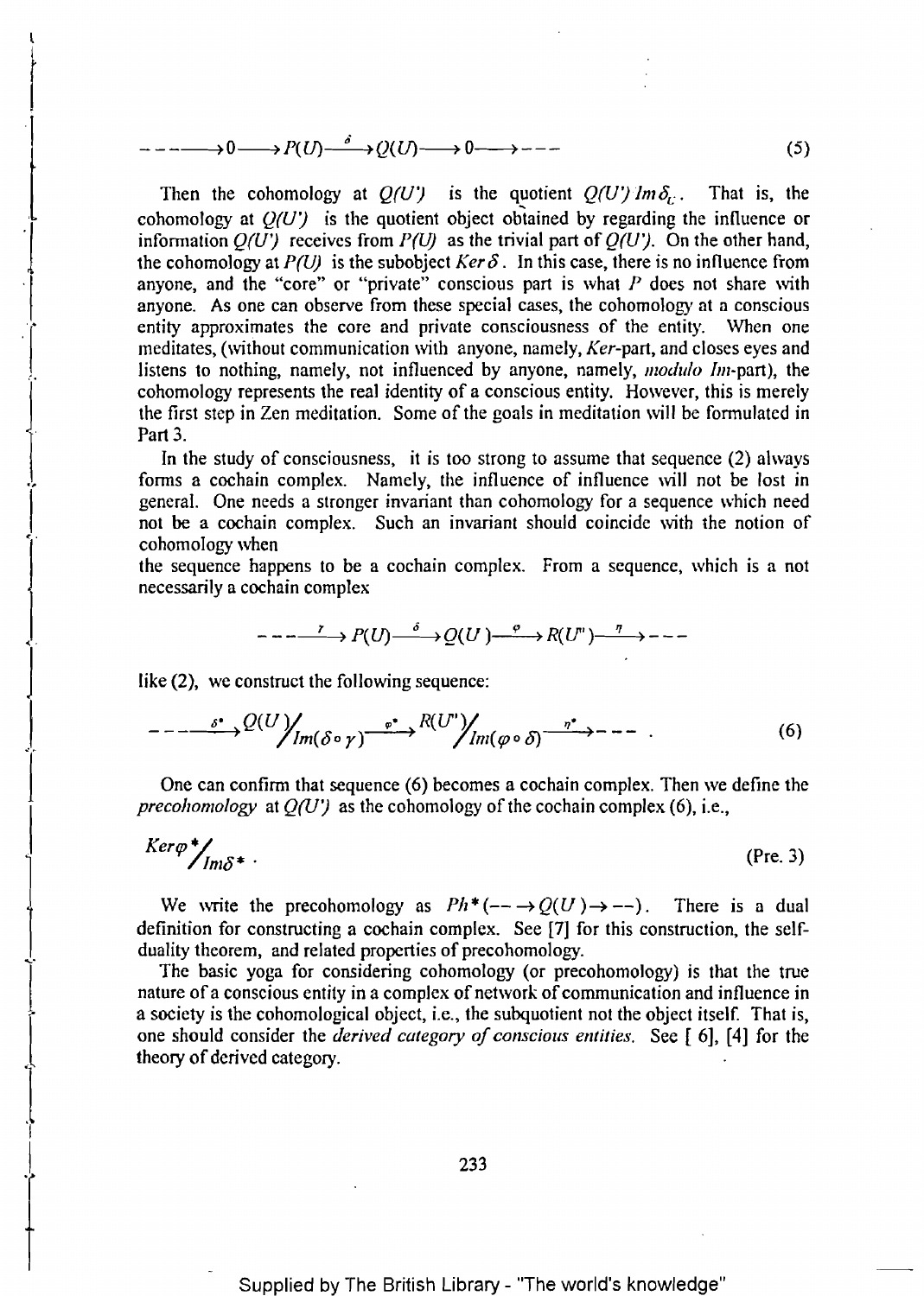$$
-\cdots \longrightarrow 0 \longrightarrow P(U) \longrightarrow \longrightarrow Q(U) \longrightarrow 0 \longrightarrow \cdots \longrightarrow (5)
$$

Then the cohomology at  $Q(U)$  is the quotient  $Q(U')$  lm  $\delta_U$ . That is, the cohomology at  $Q(U')$  is the quotient object obtained by regarding the influence or information  $Q(U)$  receives from  $P(U)$  as the trivial part of  $Q(U')$ . On the other hand, the cohomology at  $P(U)$  is the subobject *Ker*  $\delta$ . In this case, there is no influence from anyone, and the "core" or "private" conscious part is what  $P$  does not share with anyone. As one can observe from these special cases, the cohomology at a conscious entity approximates the core and private consciousness of the entity. When one meditates, (without communication with anyone, namely, *Ker-part,* and closes eyes and r listens to nothing, namely, not influenced by anyone, namely, *modulo Im*-part), the cohomology represents the real identity of a conscious entity. However, this is merely the first step in Zen meditation. Some of the goals in meditation will be fonnulated in Part 3.

In the study of consciousness, it is too strong to assume that sequence (2) always fonns a cochain complex. Namely, the influence of influence will not be lost in general. One needs a stronger invariant than cohomology for a sequence which need not be a cochain complex. Such an invariant should coincide with the notion of cohomology\vhen

the sequence happens to be a cochain complex. From a sequence, which is a not necessarily a cochain complex

$$
-\cdots \longrightarrow P(U) \stackrel{\delta}{\longrightarrow} Q(U) \stackrel{\varphi}{\longrightarrow} R(U^{n}) \stackrel{\eta}{\longrightarrow} \cdots
$$

like  $(2)$ , we construct the following sequence:

l

 $\begin{matrix} \vdots \\ \vdots \end{matrix}$ 

 $\parallel$ 

 $\begin{matrix} \vdots \\ \vdots \\ \vdots \\ \vdots \end{matrix}$ 

 $\begin{bmatrix} 1 & 1 \\ 1 & 1 \end{bmatrix}$ 

 $\overline{\phantom{a}}$ 

 $\ddot{\downarrow}$ I

$$
---\longrightarrow \frac{\delta^{*}}{\delta^{*}}\mathcal{Q}(U)\Big/_{Im(\delta\circ\gamma)}\xrightarrow{\varphi^{*}} R(U')\Big/_{Im(\varphi\circ\delta)}\xrightarrow{\eta^{*}}---.
$$
 (6)

One can confirm that sequence (6) becomes a cochain complex. Then we define the *precohomology* at  $Q(U)$  as the cohomology of the cochain complex (6), i.e.,

$$
Ker\varphi^* /_{Im\delta^*} \tag{Pre. 3}
$$

We write the precohomology as  $Ph^*(- \rightarrow Q(U) \rightarrow --)$ . There is a dual definition for constructing a cochain complex. See [7] for this construction, the self-<br>duality theorem, and related properties of precohomology.

The basic yoga for considering cohomology (or precohomology) is that the true nature of a conscious entity in a complex of network of communication and influence in a society is the cohomological object, i.e., the subquotient not the object itself. That is, one should consider the *derived category of conscious entities.* See [ 6], [4] for the theory of derived category.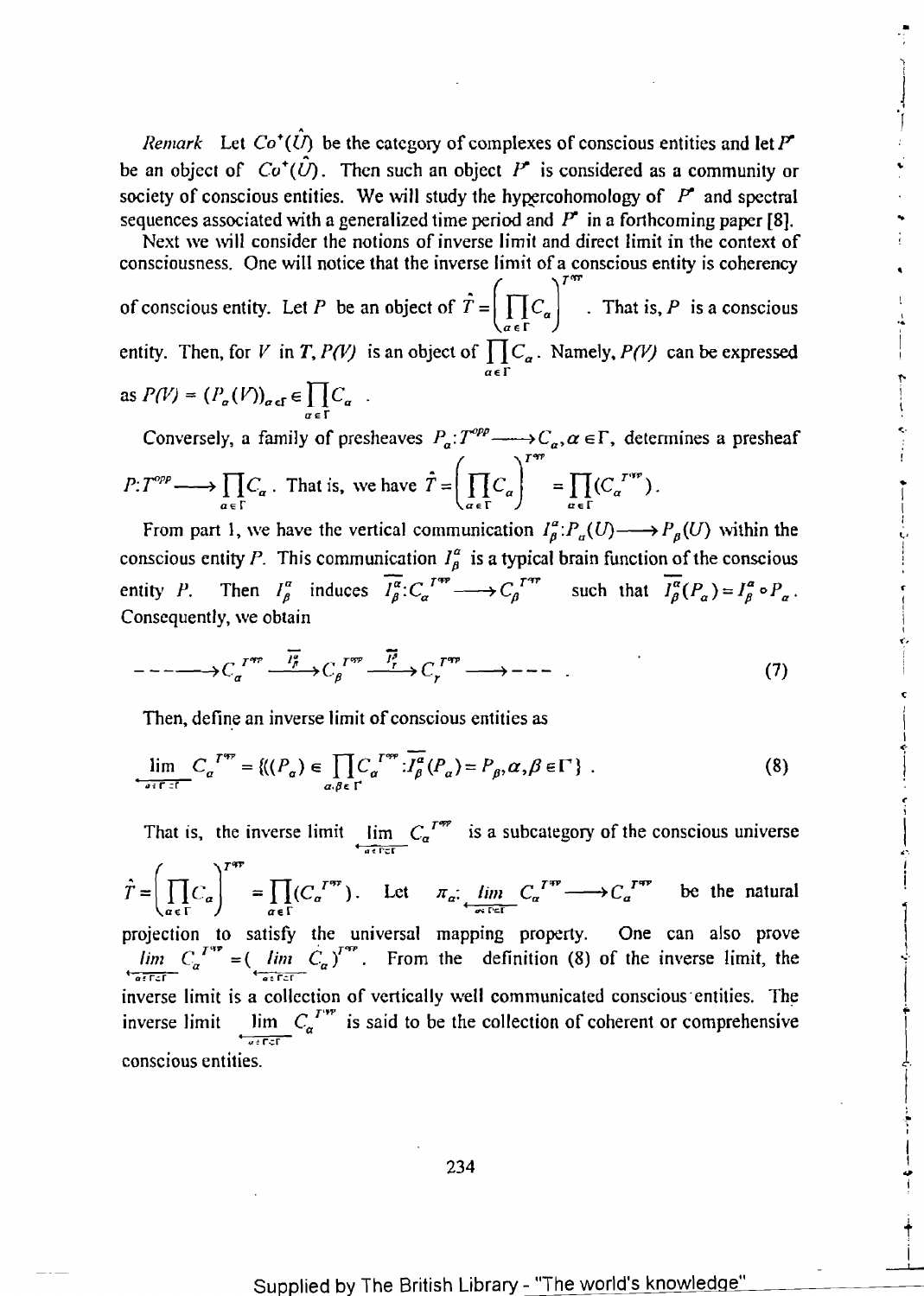*Remark* Let  $Co^+(\hat{U})$  be the category of complexes of conscious entities and let P<sup>\*</sup> be an object of  $Co^+(\hat{U})$ . Then such an object  $P^*$  is considered as a community or society of conscious entities. We will study the hypercohomology of  $P^*$  and spectral sequences associated with a generalized time period and  $P^*$  in a forthcoming paper [8].

•

 $\begin{array}{c} \n\end{array}$ 

'f

1" 1

I

!

I  $\frac{1}{1}$ f

C

 $\mathbf l$ 

 $\int$ I

> .. I

r ,

.• • I

 $\ddagger$ 

----I-. i

Next we will consider the notions of inverse limit and direct limit in the context of consciousness. One will notice that the inverse limit of a conscious entity is coherency of conscious entity. Let *P* be an object of  $\hat{T} = \left(\prod_{\alpha \in \Gamma} C_{\alpha}\right)^{1/n}$ . That is, *P* is a conscious entity. Then, for *V* in *T*, *P(V)* is an object of  $\prod_{\alpha} C_{\alpha}$ . Namely, *P(V)* can be expressed  $\overline{a}$  $\in$   $\Gamma$ as  $P(V) = (P_a(V))_{a \in \mathbf{f}} \in \prod C_a$ .  $\alpha \in \Gamma$ 

Conversely, a family of presheaves  $P_a: T^{opp} \longrightarrow C_a, \alpha \in \Gamma$ , determines a presheaf  $P:T^{opp} \longrightarrow \prod C_{\alpha}$ . That is, we have  $\hat{T} = \left| \prod C_{\alpha} \right|^{T} = \prod (C_{\alpha}^{T^{app}})$ .  $\prod_{\alpha \in \Gamma} C_{\alpha}$ . That is, we have  $I = \left( \prod_{\alpha \in \Gamma} C_{\alpha} \right) = \prod_{\alpha \in \Gamma} C_{\alpha}$ .

From part 1, we have the vertical communication  $I_{\beta}^{\alpha}:P_{\alpha}(U)\longrightarrow P_{\beta}(U)$  within the conscious entity P. This communication  $I_{\beta}^{\alpha}$  is a typical brain function of the conscious entity *P*. Then  $I_{\beta}^{\alpha}$  induces  $\overline{I_{\beta}^{\alpha}}$ :  $C_{\alpha}^{I^{\alpha} \gamma} \longrightarrow C_{\beta}^{I^{\alpha} \gamma}$  such that  $\overline{I_{\beta}^{\alpha}}(P_{\alpha}) = I_{\beta}^{\alpha} \circ P_{\alpha}$ . Consequently, we obtain

$$
---\longrightarrow C_{\alpha}^{T^{*r}}\xrightarrow{\overline{I_{\beta}^{*}}}\cdots\xrightarrow{I_{r}^{T^{*r}}}\xrightarrow{\overline{I_{r}^{*}}}\cdots\xrightarrow{\overline{I_{r}^{T^{*r}}}}---\cdots
$$
\n(7)

Then, define an inverse limit of conscious entities as

$$
\lim_{\delta \in \Gamma \subset \Gamma} C_{\alpha}^{\ T^{*r}} = \{ ((P_{\alpha}) \in \prod_{\alpha, \beta \in \Gamma} C_{\alpha}^{\ T^{*r}} : \overline{I_{\beta}^{\alpha}}(P_{\alpha}) = P_{\beta}, \alpha, \beta \in \Gamma \} \ . \tag{8}
$$

That is, the inverse limit  $\lim_{a \to c} C_a^{T^{app}}$  is a subcategory of the conscious universe  $\Big|$ .  $\hat{T} = \left(\prod_{\alpha \in \Gamma} C_{\alpha}\right)^{T^{qp}} = \prod_{\alpha \in \Gamma} (C_{\alpha}^{T^{qp}})$ . Let  $\pi_{\alpha} : \lim_{\alpha \in \Gamma^{qr}} C_{\alpha}^{T^{qp}} \longrightarrow C_{\alpha}^{T^{qp}}$  be the natural projection to satisfy the universal mapping property. One can also prove  $\int$  $\lim_{a \to \infty} C_a^{T^{ap}} = \left( \lim_{a \to \infty} C_a \right)^{T^{ap}}$ . From the definition (8) of the inverse limit, the inverse limit is a collection of vertically well communicated conscious entities. The inverse limit  $\lim_{\alpha \to \infty} C_{\alpha}^{T^{**}}$  is said to be the collection of coherent or comprehensive conscious entities.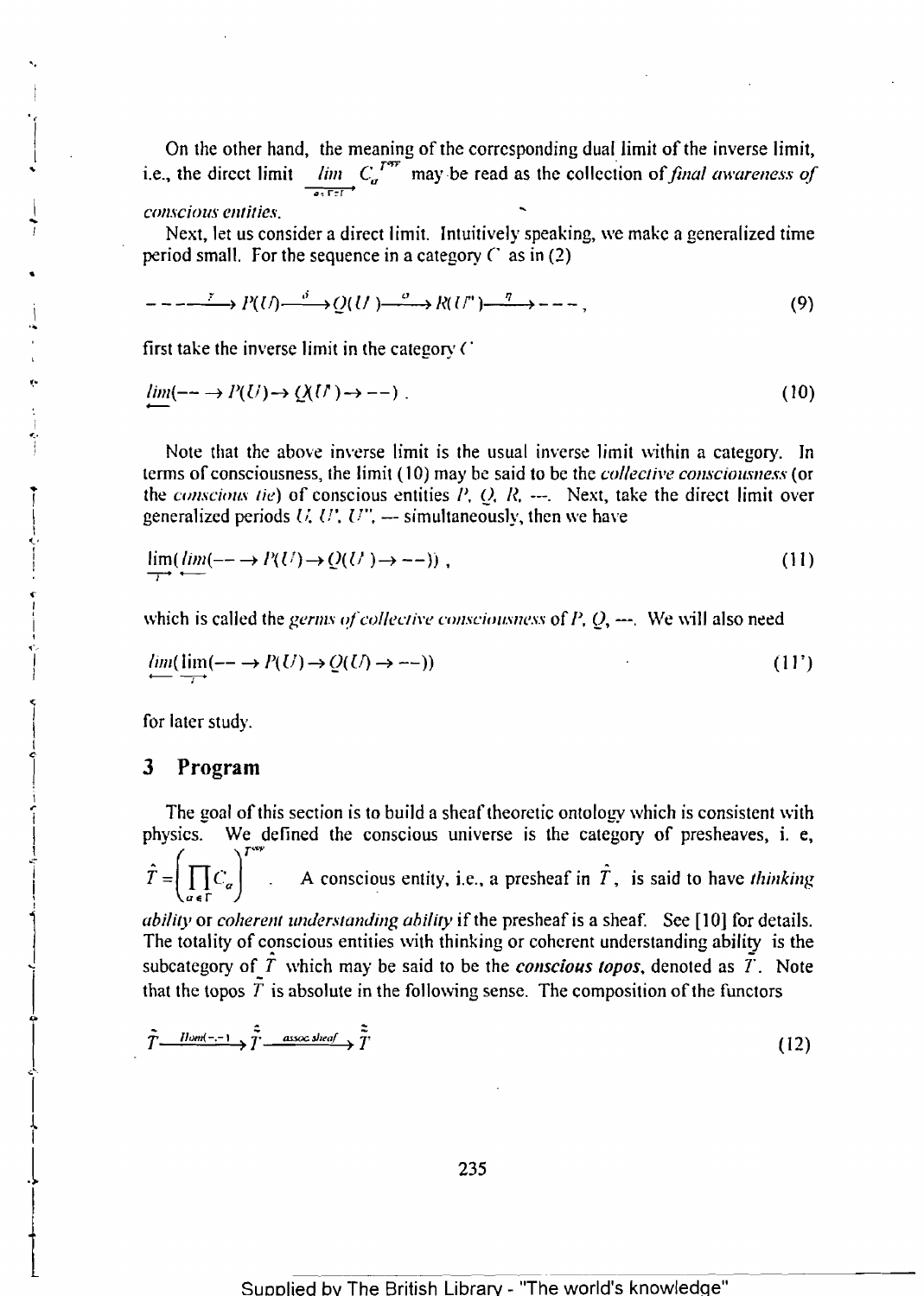On the other hand, the meaning of the corresponding dual limit of the inverse limit, i.e., the direct limit  $\lim_{a \to \infty} C_a^{T^{app}}$  may be read as the collection of *final awareness of CO/l.\"CiOUJ* emitie.\'.

Next, let us consider a direct Iimit. Intuitively speaking, we make a generalized time period small. For the sequence in a category  $C$  as in (2)

$$
--- \longrightarrow P(U) \longrightarrow Q(U) \longrightarrow R(U^{n}) \longrightarrow R(U^{n}) \longrightarrow --- ,
$$
 (9)

first take the inverse limit in the category  $C$ 

$$
\lim_{t \to \infty} (-\to P(U) \to Q(U) \to -\to). \tag{10}
$$

Note that the above inverse limit is the usual inverse limit within a category. In terms of consciousness, the limit (10) may be said to be the *collective consciousness* (or the *conscious tie*) of conscious entities  $P$ ,  $Q$ ,  $R$ ,  $\cdots$ . Next, take the direct limit over generalized periods  $U, U', U''$ ,  $-$  simultaneously, then we have

$$
\lim_{T \to \infty} (\lim_{t \to \infty} (-\to P(U) \to Q(U)) \to -\to)) ,
$$
\n(11)

which is called the *germs of collective consciousness* of  $P$ ,  $Q$ , ---. We will also need

$$
\lim_{\longrightarrow} (\lim_{\longrightarrow} (- \longrightarrow P(U) \to Q(U) \to \cdots))
$$
\n(11')

for later study.

'.

...

 $\overline{\phantom{a}}$ !

 $\mathbf i$ ...

..  $\ddot{\phantom{0}}$ I ",I I I ! c r<br>I I

ď, I i of; I

 $\sum_{i=1}^{n}$ 

 $\frac{1}{2}$ 

 $\begin{matrix} \downarrow \\ \downarrow \end{matrix}$ 

 $\sum_{i=1}^{n}$ .........

 $\vert$ t I

.l

 $\ddagger$ 

\ .. j  $\vert$  $\frac{1}{2}$ 1 j ļ i 1

 $\mathbf{r}$ I

#### 3 Program

The goal of this section is to build a sheaf theoretic ontology which is consistent with physics. We defined the conscious universe is the category of presheaves, i. e, A conscious entity, i.e., a presheaf in  $\hat{T}$ , is said to have *thinking* aef *ability* or *coherent understanding ability* if the presheaf is a sheaf. See [10] for details.

The totality of conscious entities with thinking or coherent understanding ability is the subcategory of  $\hat{T}$  which may be said to be the *conscious topos*, denoted as  $\hat{T}$ . Note that the topos  $\tilde{T}$  is absolute in the following sense. The composition of the functors

$$
\tilde{T} \xrightarrow{\text{Hom}(-,-)} \tilde{T} \xrightarrow{\tilde{z}} \text{assoc sheaf} \xrightarrow{\tilde{z}} \tilde{T}
$$
\n(12)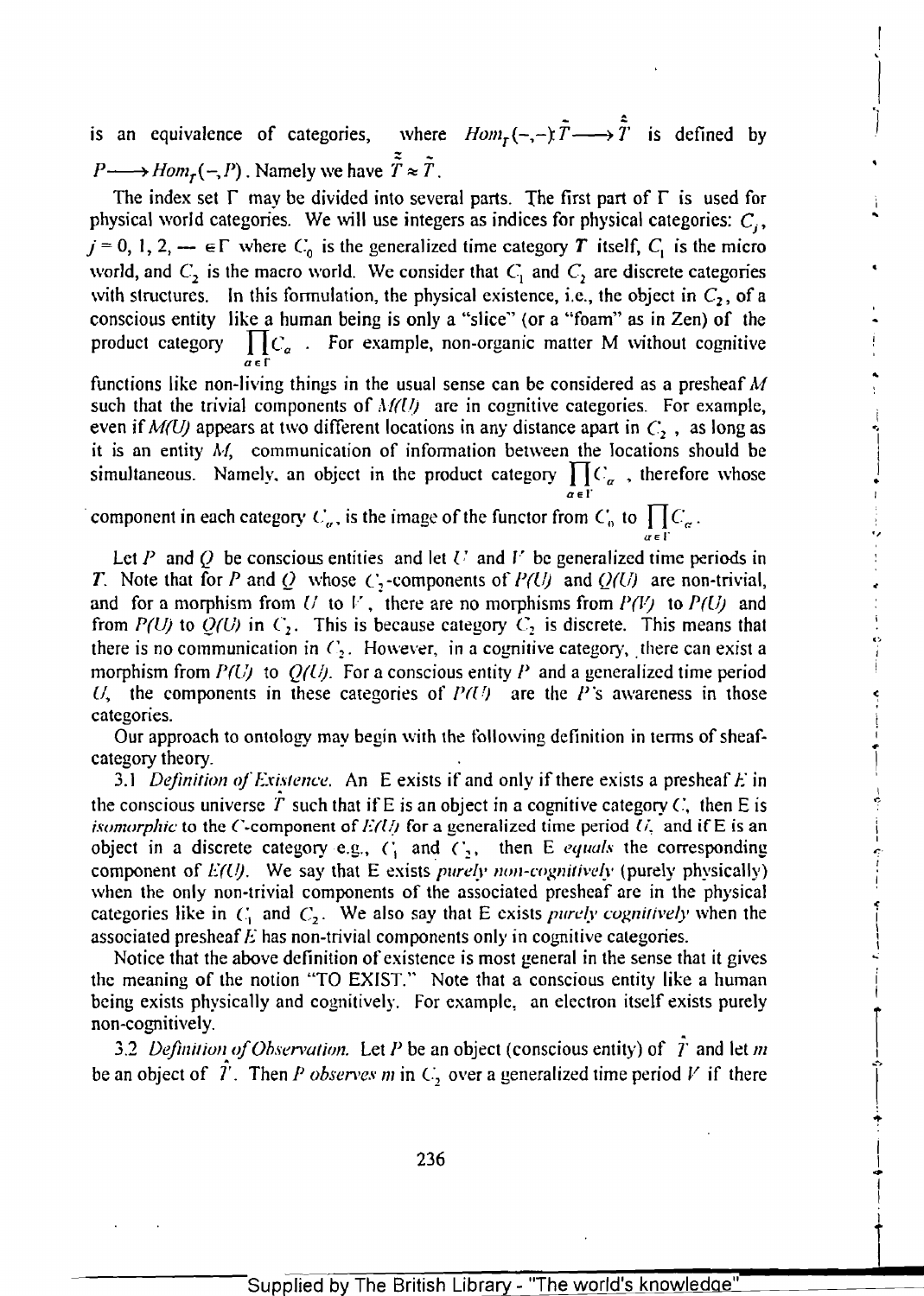$\tilde{r}$   $\longrightarrow$   $\hat{\tilde{r}}$ is an equivalence of categories, where  $Hom_{\tilde{T}}$ <br> $P \longrightarrow Hom_{\tilde{T}}(-, P)$ . Namely we have  $\tilde{\tilde{T}} \approx \tilde{T}$ .  $(-,-)$   $\tilde{T} \longrightarrow \hat{\tilde{T}}$  is defined by

i

i

I

I

\ l

I  $-$ 

 $\vert$  $\frac{1}{2}$ 

... I I

 $\overline{\mathbf{L}}$ 

The index set  $\Gamma$  may be divided into several parts. The first part of  $\Gamma$  is used for physical world categories. We will use integers as indices for physical categories:  $C_i$ ,  $j = 0, 1, 2, \dots$   $\in \Gamma$  where  $C_0$  is the generalized time category T itself,  $C_1$  is the micro world, and  $C_2$  is the macro world. We consider that  $C_1$  and  $C_2$  are discrete categories with structures. In this formulation, the physical existence, i.e., the object in  $C_2$ , of a conscious entity like a human being is only a "slice" (or a "foam" as in Zen) of the product category  $\prod C_{\alpha}$ . For example, non-organic matter M without cognitive functions like non-living things in the usual sense can be considered as a presheaf  $M$ 

such that the trivial components of  $M(U)$  are in cognitive categories. For example, even if  $M(U)$  appears at two different locations in any distance apart in  $C_2$ , as long as it is an entity *AI,* communication of infonnation between the locations should be it is an entity M, communication of information between the locations should be<br>simultaneous. Namely, an object in the product category  $\prod_{\alpha \in \Gamma} C_{\alpha}$ , therefore whose

component in each category  $C_{\alpha}$ , is the image of the functor from  $C_0$  to  $\prod C_{\alpha}$ .

Let P and Q be conscious entities and let  $U$  and  $V$  be generalized time periods in T. Note that for P and Q whose  $C_2$ -components of  $P(U)$  and  $Q(U)$  are non-trivial, and for a morphism from  $U$  to  $V$ , there are no morphisms from  $P(V)$  to  $P(U)$  and from *P(U)* to  $Q(U)$  in  $C_2$ . This is because category  $C_2$  is discrete. This means that there is no communication in  $C_2$ . However, in a cognitive category, there can exist a morphism from *P(L'j* to *Q(llj.* For a conscious entity *P* and a generalized time period U, the components in these categories of  $P(U)$  are the P's awareness in those categories.

Our approach to ontology may begin with the following definition in terms of sheaf-category theory.

3.1 *Definition of Existence*. An E exists if and only if there exists a presheaf *E* in the conscious universe T such that if E is an object in a cognitive category  $C$ , then E is *isomorphic* to the C-component of  $E(U)$  for a generalized time period  $U<sub>z</sub>$  and if E is an object in a discrete category e.g.,  $C_1$  and  $C_2$ , then E *equals* the corresponding component of  $E(U)$ . We say that E exists *purely non-cognitively* (purely physically) when the only non-trivial components of the associated presheaf are in the physical categories like in  $C_1$  and  $C_2$ . We also say that E exists *purely cognitively* when the associated presheaf E has non-trivial components only in cognitive categories.

Notice that the above definition of existence is most general in the sense that it gives the meaning of the notion "TO EXIST." Note that a conscious entity like a human being exists physically and cognitively. For example, an electron itself exists purely non-cognitively.

3.2 *Definition of Observation.* Let *P* be an object (conscious entity) of  $\overline{T}$  and let  $\overline{m}$ be an object of  $T$ . Then *P observes m* in  $C_2$  over a generalized time period *V* if there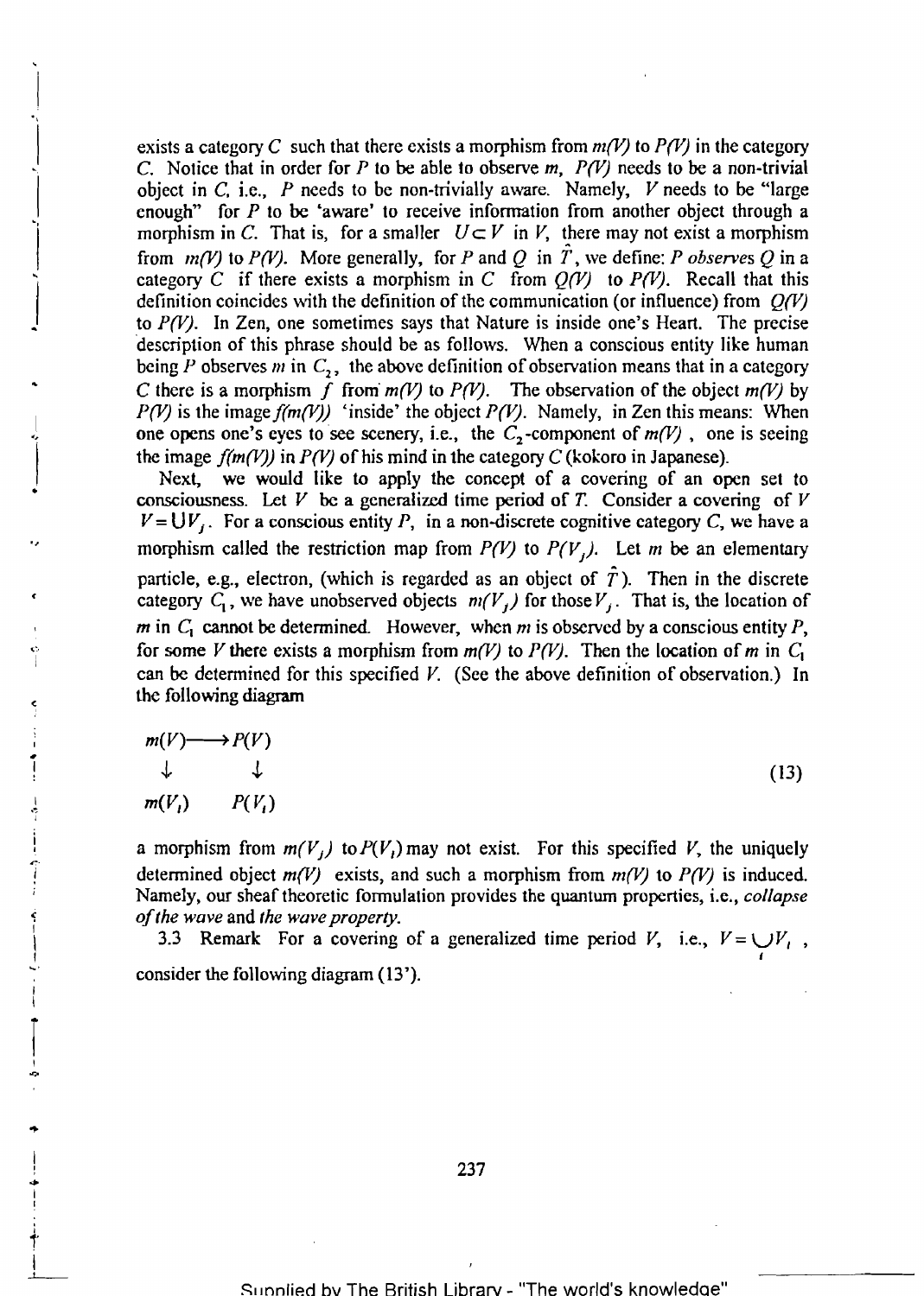exists a category C such that there exists a morphism from  $m(V)$  to  $P(V)$  in the category C. Notice that in order for *P* to be able to observe *m, P(V)* needs to be a non-trivial object in C, i.e.,  $P$  needs to be non-trivially aware. Namely,  $V$  needs to be "large enough" for  $P$  to be 'aware' to receive information from another object through a morphism in C. That is, for a smaller  $U \subset V$  in *V*, there may not exist a morphism from  $m(V)$  to  $P(V)$ . More generally, for P and Q in T, we define: P observes Q in a category C if there exists a morphism in C from  $Q(V)$  to  $P(V)$ . Recall that this definition coincides with the definition of the communication (or influence) from *Q(V)*  to *P(V).* In Zen, one sometimes says that Nature is inside one's Heart. The precise "description of this phrase should be as follows. When a conscious entity like human being P observes  $m$  in  $C_2$ , the above definition of observation means that in a category C there is a morphism f from  $m(V)$  to  $P(V)$ . The observation of the object  $m(V)$  by *P(V)* is the image  $f(m(V))$  'inside' the object *P(V)*. Namely, in Zen this means: When one opens one's eyes to see scenery, i.e., the  $C_2$ -component of  $m(V)$ , one is seeing the image  $f(m(V))$  in *P(V)* of his mind in the c

Next, we would like to apply the concept of a covering of an open set to consciousness. Let  $V$  be a generalized time period of  $T$ . Consider a covering of  $V$  $V=UV<sub>i</sub>$ . For a conscious entity P, in a non-discrete cognitive category C, we have a morphism called the restriction map from  $P(V)$  to  $P(V_j)$ . Let *m* be an elementary particle, e.g., electron, (which is regarded as an object of  $\hat{T}$ ). Then in the discrete category  $C_1$ , we have unobserved objects  $m(V_j)$  for those  $V_j$ . That is, the location of *m* in  $C_1$  cannot be determined. However, when *m* is observed by a conscious entity P, for some *V* there exists a morphism from  $m(V)$  to  $P(V)$ . Then the location of *m* in  $C_1$ can be determined for this specified *V.* (See the above definition of observation.) In the following diagram

$$
m(V) \longrightarrow P(V)
$$
  
\n
$$
\downarrow \qquad \downarrow \qquad \qquad (13)
$$
  
\n
$$
m(V_i) \qquad P(V_i)
$$

a morphism from  $m(V_i)$  to  $P(V_i)$  may not exist. For this specified V, the uniquely determined object  $m(V)$  exists, and such a morphism from  $m(V)$  to  $P(V)$  is induced. <sup>i</sup>Namely, our sheaf theoretic fonnulation provides the quantum properties, i.e., *collapse* 

of the wave and the wave property.<br>
3.3 Remark For a covering of a generalized time period *V*, i.e.,  $V = \bigcup_i V_i$ , consider the following diagram (13').

..L...-

 $\ddagger$ 

I I

r I ..,.

VIII - 1911 - 1911 - 1911 - 1911 - 1911 - 1911 - 1911 - 1911 - 1911 - 1911 - 1911 - 1911 - 1911 - 19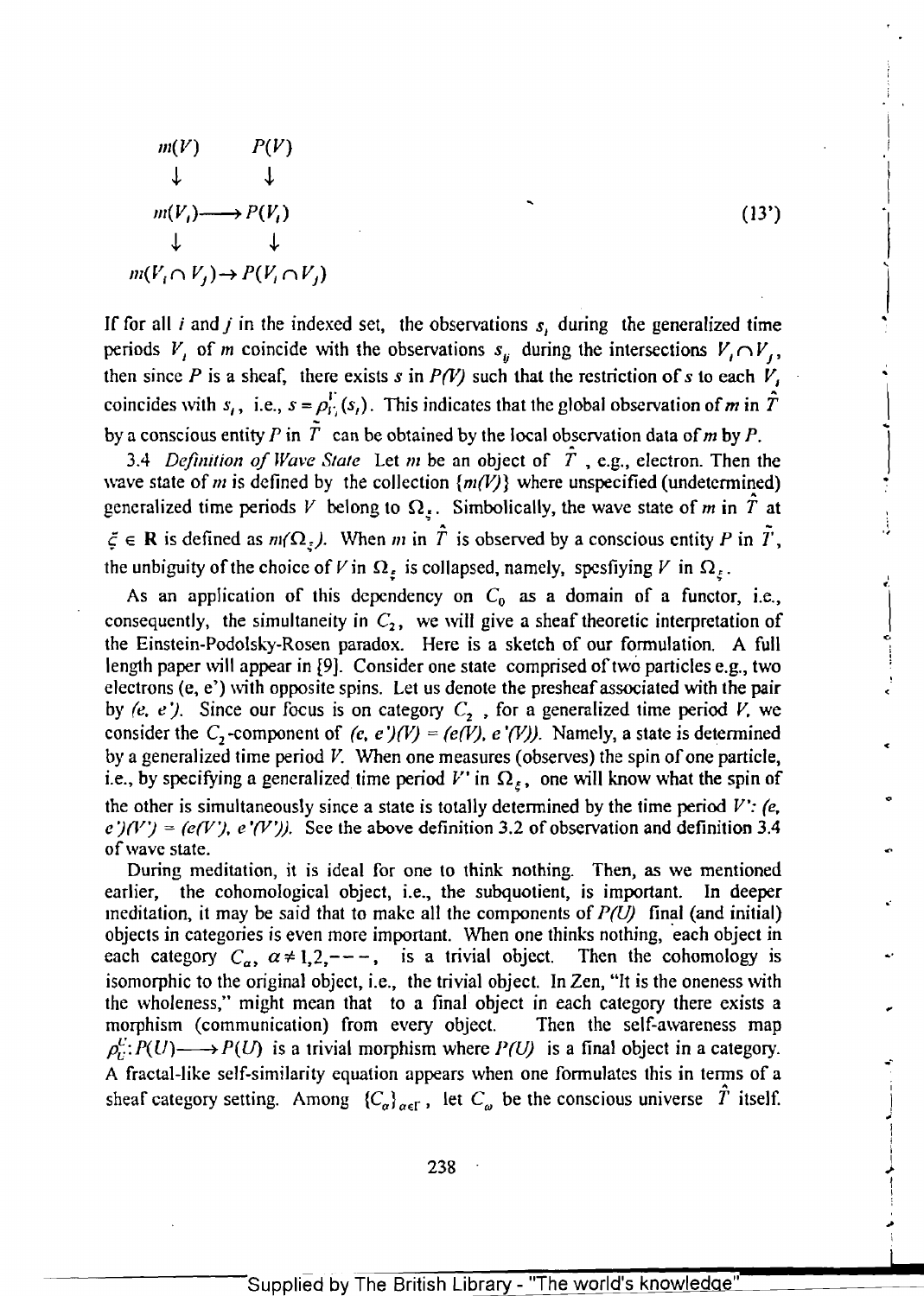$$
m(V) \qquad P(V)
$$
\n
$$
\downarrow \qquad \downarrow
$$
\n
$$
m(V_i) \longrightarrow P(V_i)
$$
\n
$$
\downarrow \qquad \downarrow
$$
\n
$$
m(V_i \cap V_j) \rightarrow P(V_i \cap V_j)
$$
\n(13')

If for all *i* and *j* in the indexed set, the observations  $s<sub>i</sub>$  during the generalized time periods  $V_i$  of m coincide with the observations  $s_{ij}$  during the intersections  $V_i \cap V_j$ , then since P is a sheaf, there exists *s* in P(V) such that the restriction of *s* to each  $V_i$ coincides with  $s_i$ , i.e.,  $s = \rho_i^V(s_i)$ . This indicates that the global observation of *m* in  $\hat{T}$ by a conscious entity P in  $\tilde{T}$  can be obtained by the local observation data of m by P.

r

,  $\mathbf{I}$ 

\

i

 $\overline{\phantom{a}}$ I

> I i

I 1 I ..

*3.4 Definition of Wave State* Let *m* be an object of  $\hat{T}$ , e.g., electron. Then the wave state of m is defined by the collection  $\{m(V)\}$  where unspecified (undetermined) generalized time periods *V* belong to  $\Omega$ <sub>5</sub>. Simbolically, the wave state of *m* in  $\hat{T}$  at  $\xi \in \mathbb{R}$  is defined as  $m(\Omega_{\xi})$ . When m in  $\hat{T}$  is observed by a conscious entity P in  $\tilde{T}$ , the unbiguity of the choice of V in  $\Omega_{\varepsilon}$  is collapsed, namely, spesfiying V in  $\Omega_{\varepsilon}$ .

As an application of this dependency on  $C_0$  as a domain of a functor, i.e., consequently, the simultaneity in  $C_2$ , we will give a sheaf theoretic interpretation of the Einstein-Podolsky-Rosen paradox. Here is a sketch of our formulation. A full length paper will appear in [9]. Consider one state comprised of two particles e.g., two electrons  $(e, e')$  with opposite spins. Let us denote the presheaf associated with the pair by (e, e ). Since our focus is on category  $C_2$ , for a generalized time period V, we consider the  $C_2$ -component of (e, e )(V) = (e(V), e (V)). Namely, a state is determined by a generalized time period V. When one measures (observes) the spin of one particle, i.e., by specifying a generalized time period V' in  $\Omega_{\varepsilon}$ , one will know what the spin of the other is simultaneously since a state is totally detennined by the time period *V': (e,*   $e^+(V') = (e(V'), e'(V'))$ . See the above definition 3.2 of observation and definition 3.4 of wave state.

During meditation, it is ideal for one to think nothing. Then, as we mentioned earlier, the cohomological object, i.e., the subquotient, is important. In deeper meditation, it may be said that to make all the components of  $P(U)$  final (and initial) objects in categories is even more important. When one thinks nothing, 'each object in objects in categories is even more important. When one minks nothing, each object in<br>each category  $C_{\alpha}$ ,  $\alpha \neq 1,2,---$ , is a trivial object. Then the cohomology is isomorphic to the original object, i.e., the trivial object. In Zen, "It is the oneness with the wholeness," might mean that to a final object in each category there exists a morphism (communication) from every object. Then the self-awareness map  $\rho_C^U: P(U) \longrightarrow P(U)$  is a trivial morphism where  $P(U)$  is a final object in a category.<br>A fractal-like self-similarity equation appears when one formulates this in terms of a sheaf category setting. Among  ${C_{\alpha}}_{\alpha \in \Gamma}$ , let  $C_{\omega}$  be the conscious universe *T* itself.

=:--~:-:--:--:-:-:--~=:--~-:-~-:-~ r..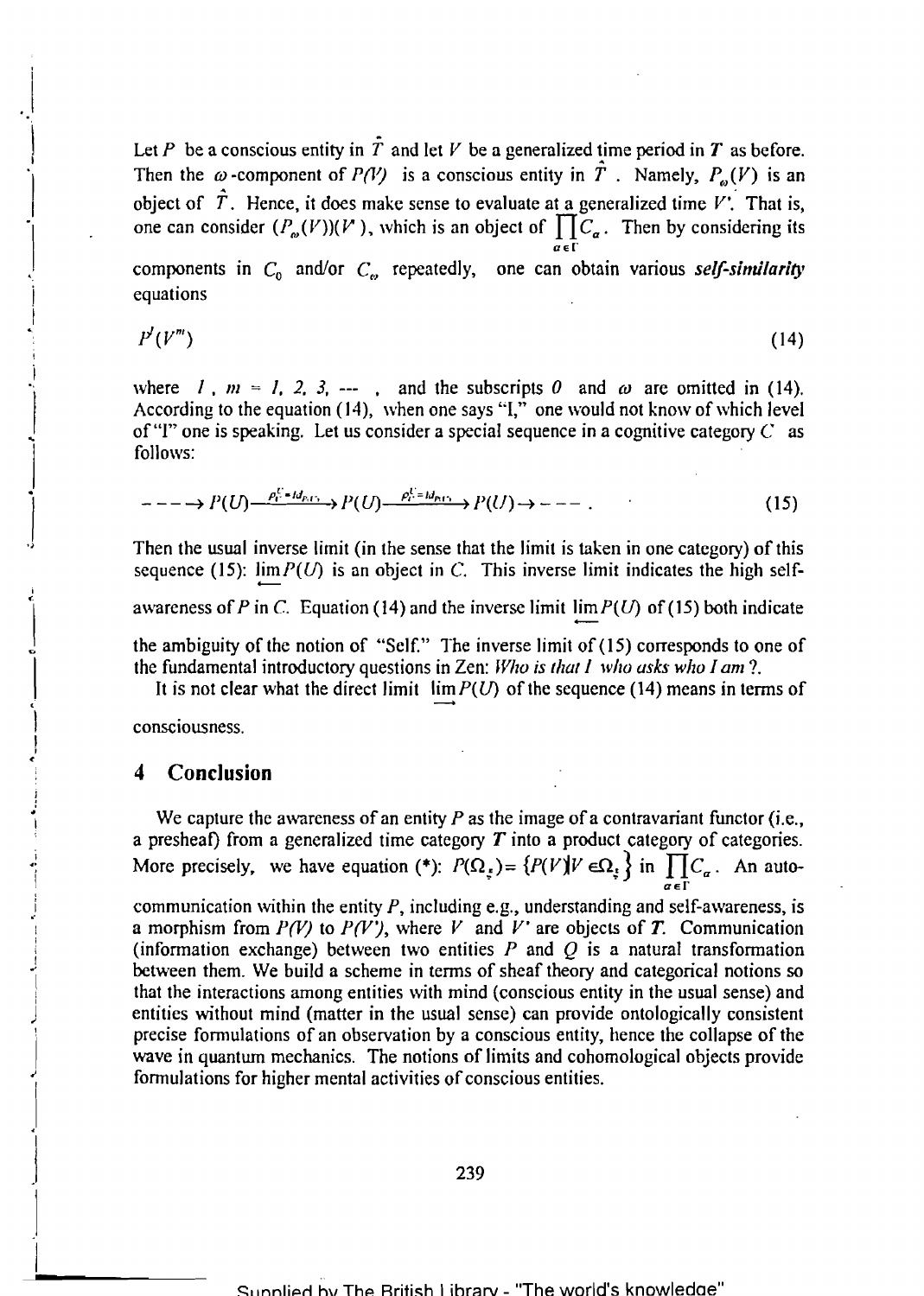Let P be a conscious entity in  $\hat{T}$  and let V be a generalized time period in T as before. Then the  $\omega$ -component of *P(V)* is a conscious entity in  $\hat{T}$ . Namely,  $P_{\omega}(V)$  is an I have the component of  $I(Y)$  is a conservation in  $I(Y)$  in a conservation of  $\hat{T}$ . Hence, it does make sense to evaluate at a generalized time V'. That is, one can consider  $(P_{\omega}(V)|(V))$ , which is an object of  $\prod_{i=1}^{N}C_{\alpha}$ . Then by considering its  $\overline{a}$  and  $\overline{a}$  and  $\overline{a}$  are  $\overline{a}$ 

 $\mathcal{C}_0$  components in  $\mathcal{C}_0$  and/or  $\mathcal{C}_\omega$  repeatedly, one can obtain various *self-similarity* equations

$$
P'(V''')\tag{14}
$$

where *l*,  $m = 1, 2, 3, \dots$ , and the subscripts 0 and  $\omega$  are omitted in (14). According to the equation (14), when one says "I," one would not know of which level of "I" one is speaking. Let us consider a special sequence in a cognitive category  $C$  as follows:

$$
---\rightarrow P(U)\rightarrow P_{\Gamma}^{C=Id_{P,\Gamma_{1}}}\rightarrow P(U)\rightarrow P_{\Gamma}^{C=Id_{P,\Gamma_{1}}}\rightarrow P(U)\rightarrow---.
$$
\n(15)

Then the usual inverse limit (in the sense that the limit is taken in one category) of this sequence (15):  $\lim P(U)$  is an object in C. This inverse limit indicates the high selfawareness of P in C. Equation (14) and the inverse limit  $\lim P(U)$  of (15) both indicate the ambiguity of the notion of "Self." The inverse limit of  $(15)$  corresponds to one of

 $\overline{\phantom{a}}$ the fundamental introductory questions in Zen: *Who is that I who asks who I am?*<br>It is not clear what the direct limit  $\lim_{x \to 0} P(U)$  of the sequence (14) means in terms of

consciousness. ,

.1

j

.<br>.<br>.  $\vert$ 

 $\int$ 

I ~.

> I  $\vert$

!

.>I

.1

1

 $\mathbf{I}$ 

#### **4 Conclusion**

. We capture the awareness of an entity *P* as the image of a contravariant functor (i.e., a presheaf) from a generalized time category *T* into a product category of categories. More precisely, we have equation (\*):  $P(\Omega_{\xi}) = \{P(V)|V \in \Omega_{\xi}\}\$ in  $\prod C_{\alpha}$ . An auto  $a \in \Gamma$ 

communication within the entity  $P$ , including e.g., understanding and self-awareness, is a morphism from  $P(V)$  to  $P(V')$ , where V and V' are objects of T. Communication (information exchange) between two entities  $P$  and  $Q$  is a natural transformation between them. We build a scheme in terms of sheaf theory and categorical notions so that the interactions among entities with mind (conscious entity in the usual sense) and entities without mind (matter in the usual sense) can provide ontologically consistent precise formulations of an observation by a conscious entity, hence the collapse of the wave in quantum mechanics. The notions of limits and cohomological objects provide formulations for higher mental activities of conscious entities.